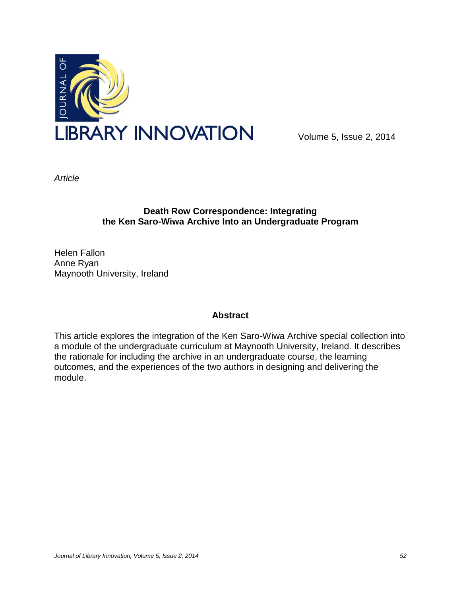

Volume 5, Issue 2, 2014

*Article*

# **Death Row Correspondence: Integrating the Ken Saro-Wiwa Archive Into an Undergraduate Program**

Helen Fallon Anne Ryan Maynooth University, Ireland

### **Abstract**

This article explores the integration of the Ken Saro-Wiwa Archive special collection into a module of the undergraduate curriculum at Maynooth University, Ireland. It describes the rationale for including the archive in an undergraduate course, the learning outcomes, and the experiences of the two authors in designing and delivering the module.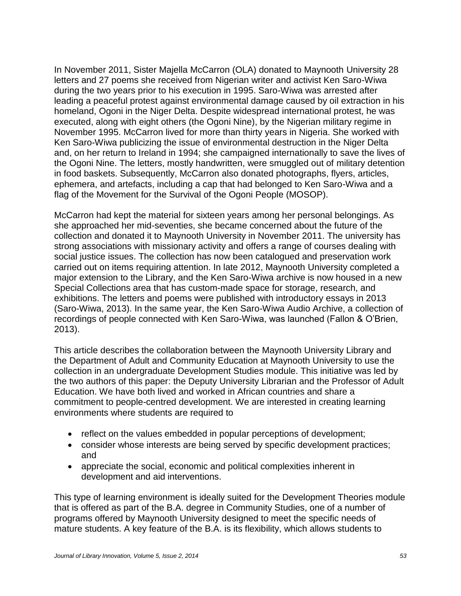In November 2011, Sister Majella McCarron (OLA) donated to Maynooth University 28 letters and 27 poems she received from Nigerian writer and activist Ken Saro-Wiwa during the two years prior to his execution in 1995. Saro-Wiwa was arrested after leading a peaceful protest against environmental damage caused by oil extraction in his homeland, Ogoni in the Niger Delta. Despite widespread international protest, he was executed, along with eight others (the Ogoni Nine), by the Nigerian military regime in November 1995. McCarron lived for more than thirty years in Nigeria. She worked with Ken Saro-Wiwa publicizing the issue of environmental destruction in the Niger Delta and, on her return to Ireland in 1994; she campaigned internationally to save the lives of the Ogoni Nine. The letters, mostly handwritten, were smuggled out of military detention in food baskets. Subsequently, McCarron also donated photographs, flyers, articles, ephemera, and artefacts, including a cap that had belonged to Ken Saro-Wiwa and a flag of the Movement for the Survival of the Ogoni People (MOSOP).

McCarron had kept the material for sixteen years among her personal belongings. As she approached her mid-seventies, she became concerned about the future of the collection and donated it to Maynooth University in November 2011. The university has strong associations with missionary activity and offers a range of courses dealing with social justice issues. The collection has now been catalogued and preservation work carried out on items requiring attention. In late 2012, Maynooth University completed a major extension to the Library, and the Ken Saro-Wiwa archive is now housed in a new Special Collections area that has custom-made space for storage, research, and exhibitions. The letters and poems were published with introductory essays in 2013 (Saro-Wiwa, 2013). In the same year, the Ken Saro-Wiwa Audio Archive, a collection of recordings of people connected with Ken Saro-Wiwa, was launched (Fallon & O'Brien, 2013).

This article describes the collaboration between the Maynooth University Library and the Department of Adult and Community Education at Maynooth University to use the collection in an undergraduate Development Studies module. This initiative was led by the two authors of this paper: the Deputy University Librarian and the Professor of Adult Education. We have both lived and worked in African countries and share a commitment to people-centred development. We are interested in creating learning environments where students are required to

- reflect on the values embedded in popular perceptions of development;
- consider whose interests are being served by specific development practices; and
- appreciate the social, economic and political complexities inherent in development and aid interventions.

This type of learning environment is ideally suited for the Development Theories module that is offered as part of the B.A. degree in Community Studies, one of a number of programs offered by Maynooth University designed to meet the specific needs of mature students. A key feature of the B.A. is its flexibility, which allows students to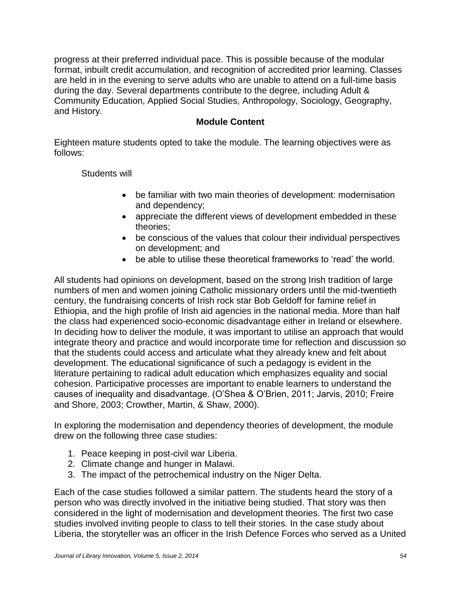progress at their preferred individual pace. This is possible because of the modular format, inbuilt credit accumulation, and recognition of accredited prior learning. Classes are held in in the evening to serve adults who are unable to attend on a full-time basis during the day. Several departments contribute to the degree, including Adult & Community Education, Applied Social Studies, Anthropology, Sociology, Geography, and History.

### **Module Content**

Eighteen mature students opted to take the module. The learning objectives were as follows:

Students will

- be familiar with two main theories of development: modernisation and dependency;
- appreciate the different views of development embedded in these theories;
- be conscious of the values that colour their individual perspectives on development; and
- be able to utilise these theoretical frameworks to 'read' the world.

All students had opinions on development, based on the strong Irish tradition of large numbers of men and women joining Catholic missionary orders until the mid-twentieth century, the fundraising concerts of Irish rock star Bob Geldoff for famine relief in Ethiopia, and the high profile of Irish aid agencies in the national media. More than half the class had experienced socio-economic disadvantage either in Ireland or elsewhere. In deciding how to deliver the module, it was important to utilise an approach that would integrate theory and practice and would incorporate time for reflection and discussion so that the students could access and articulate what they already knew and felt about development. The educational significance of such a pedagogy is evident in the literature pertaining to radical adult education which emphasizes equality and social cohesion. Participative processes are important to enable learners to understand the causes of inequality and disadvantage. (O'Shea & O'Brien, 2011; Jarvis, 2010; Freire and Shore, 2003; Crowther, Martin, & Shaw, 2000).

In exploring the modernisation and dependency theories of development, the module drew on the following three case studies:

- 1. Peace keeping in post-civil war Liberia.
- 2. Climate change and hunger in Malawi.
- 3. The impact of the petrochemical industry on the Niger Delta.

Each of the case studies followed a similar pattern. The students heard the story of a person who was directly involved in the initiative being studied. That story was then considered in the light of modernisation and development theories. The first two case studies involved inviting people to class to tell their stories. In the case study about Liberia, the storyteller was an officer in the Irish Defence Forces who served as a United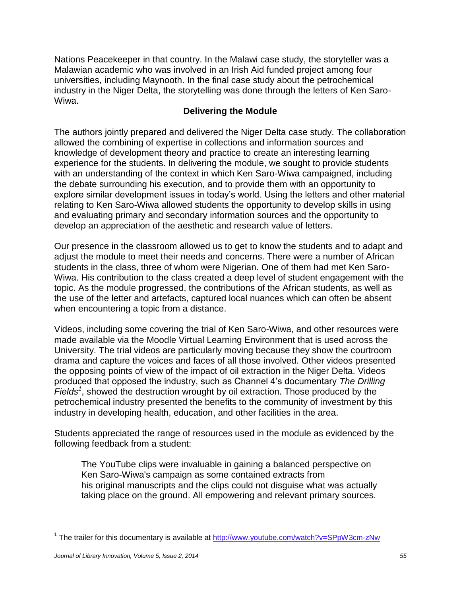Nations Peacekeeper in that country. In the Malawi case study, the storyteller was a Malawian academic who was involved in an Irish Aid funded project among four universities, including Maynooth. In the final case study about the petrochemical industry in the Niger Delta, the storytelling was done through the letters of Ken Saro-Wiwa.

## **Delivering the Module**

The authors jointly prepared and delivered the Niger Delta case study. The collaboration allowed the combining of expertise in collections and information sources and knowledge of development theory and practice to create an interesting learning experience for the students. In delivering the module, we sought to provide students with an understanding of the context in which Ken Saro-Wiwa campaigned, including the debate surrounding his execution, and to provide them with an opportunity to explore similar development issues in today's world. Using the letters and other material relating to Ken Saro-Wiwa allowed students the opportunity to develop skills in using and evaluating primary and secondary information sources and the opportunity to develop an appreciation of the aesthetic and research value of letters.

Our presence in the classroom allowed us to get to know the students and to adapt and adjust the module to meet their needs and concerns. There were a number of African students in the class, three of whom were Nigerian. One of them had met Ken Saro-Wiwa. His contribution to the class created a deep level of student engagement with the topic. As the module progressed, the contributions of the African students, as well as the use of the letter and artefacts, captured local nuances which can often be absent when encountering a topic from a distance.

Videos, including some covering the trial of Ken Saro-Wiwa, and other resources were made available via the Moodle Virtual Learning Environment that is used across the University. The trial videos are particularly moving because they show the courtroom drama and capture the voices and faces of all those involved. Other videos presented the opposing points of view of the impact of oil extraction in the Niger Delta. Videos produced that opposed the industry, such as Channel 4's documentary *The Drilling Fields<sup>1</sup>* , showed the destruction wrought by oil extraction. Those produced by the petrochemical industry presented the benefits to the community of investment by this industry in developing health, education, and other facilities in the area.

Students appreciated the range of resources used in the module as evidenced by the following feedback from a student:

The YouTube clips were invaluable in gaining a balanced perspective on Ken Saro-Wiwa's campaign as some contained extracts from his original manuscripts and the clips could not disguise what was actually taking place on the ground. All empowering and relevant primary sources*.* 

 $\overline{\phantom{a}}$ <sup>1</sup> The trailer for this documentary is available at<http://www.youtube.com/watch?v=SPpW3cm-zNw>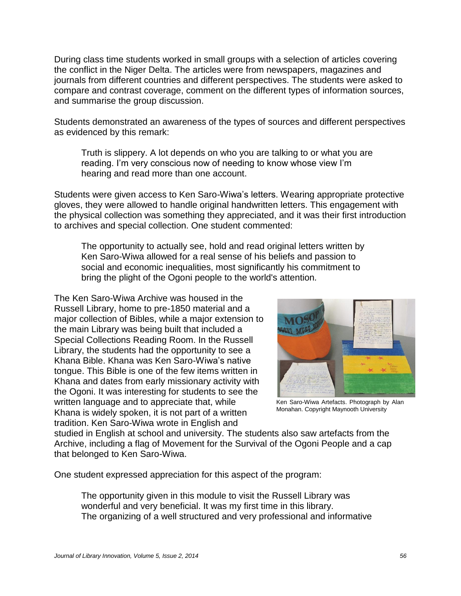During class time students worked in small groups with a selection of articles covering the conflict in the Niger Delta. The articles were from newspapers, magazines and journals from different countries and different perspectives. The students were asked to compare and contrast coverage, comment on the different types of information sources, and summarise the group discussion.

Students demonstrated an awareness of the types of sources and different perspectives as evidenced by this remark:

Truth is slippery. A lot depends on who you are talking to or what you are reading. I'm very conscious now of needing to know whose view I'm hearing and read more than one account.

Students were given access to Ken Saro-Wiwa's letters. Wearing appropriate protective gloves, they were allowed to handle original handwritten letters. This engagement with the physical collection was something they appreciated, and it was their first introduction to archives and special collection. One student commented:

The opportunity to actually see, hold and read original letters written by Ken Saro-Wiwa allowed for a real sense of his beliefs and passion to social and economic inequalities, most significantly his commitment to bring the plight of the Ogoni people to the world's attention*.*

The Ken Saro-Wiwa Archive was housed in the Russell Library, home to pre-1850 material and a major collection of Bibles, while a major extension to the main Library was being built that included a Special Collections Reading Room. In the Russell Library, the students had the opportunity to see a Khana Bible. Khana was Ken Saro-Wiwa's native tongue. This Bible is one of the few items written in Khana and dates from early missionary activity with the Ogoni. It was interesting for students to see the written language and to appreciate that, while Khana is widely spoken, it is not part of a written tradition. Ken Saro-Wiwa wrote in English and



Ken Saro-Wiwa Artefacts. Photograph by Alan Monahan. Copyright Maynooth University

studied in English at school and university. The students also saw artefacts from the Archive, including a flag of Movement for the Survival of the Ogoni People and a cap that belonged to Ken Saro-Wiwa.

One student expressed appreciation for this aspect of the program:

The opportunity given in this module to visit the Russell Library was wonderful and very beneficial. It was my first time in this library. The organizing of a well structured and very professional and informative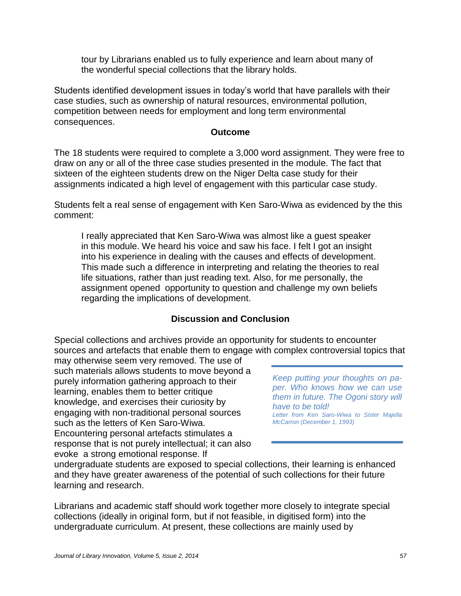tour by Librarians enabled us to fully experience and learn about many of the wonderful special collections that the library holds.

Students identified development issues in today's world that have parallels with their case studies, such as ownership of natural resources, environmental pollution, competition between needs for employment and long term environmental consequences.

#### **Outcome**

The 18 students were required to complete a 3,000 word assignment. They were free to draw on any or all of the three case studies presented in the module. The fact that sixteen of the eighteen students drew on the Niger Delta case study for their assignments indicated a high level of engagement with this particular case study.

Students felt a real sense of engagement with Ken Saro-Wiwa as evidenced by the this comment:

I really appreciated that Ken Saro-Wiwa was almost like a guest speaker in this module. We heard his voice and saw his face. I felt I got an insight into his experience in dealing with the causes and effects of development. This made such a difference in interpreting and relating the theories to real life situations, rather than just reading text. Also, for me personally, the assignment opened opportunity to question and challenge my own beliefs regarding the implications of development.

# **Discussion and Conclusion**

Special collections and archives provide an opportunity for students to encounter sources and artefacts that enable them to engage with complex controversial topics that

may otherwise seem very removed. The use of such materials allows students to move beyond a purely information gathering approach to their learning, enables them to better critique knowledge, and exercises their curiosity by engaging with non-traditional personal sources such as the letters of Ken Saro-Wiwa. Encountering personal artefacts stimulates a response that is not purely intellectual; it can also evoke a strong emotional response. If

*Keep putting your thoughts on paper. Who knows how we can use them in future. The Ogoni story will have to be told! Letter from Ken Saro-Wiwa to Sister Majella McCarron (December 1, 1993)*

undergraduate students are exposed to special collections, their learning is enhanced and they have greater awareness of the potential of such collections for their future learning and research.

Librarians and academic staff should work together more closely to integrate special collections (ideally in original form, but if not feasible, in digitised form) into the undergraduate curriculum. At present, these collections are mainly used by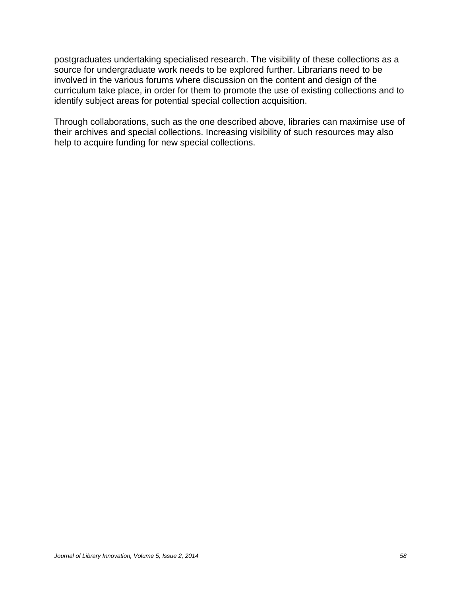postgraduates undertaking specialised research. The visibility of these collections as a source for undergraduate work needs to be explored further. Librarians need to be involved in the various forums where discussion on the content and design of the curriculum take place, in order for them to promote the use of existing collections and to identify subject areas for potential special collection acquisition.

Through collaborations, such as the one described above, libraries can maximise use of their archives and special collections. Increasing visibility of such resources may also help to acquire funding for new special collections.